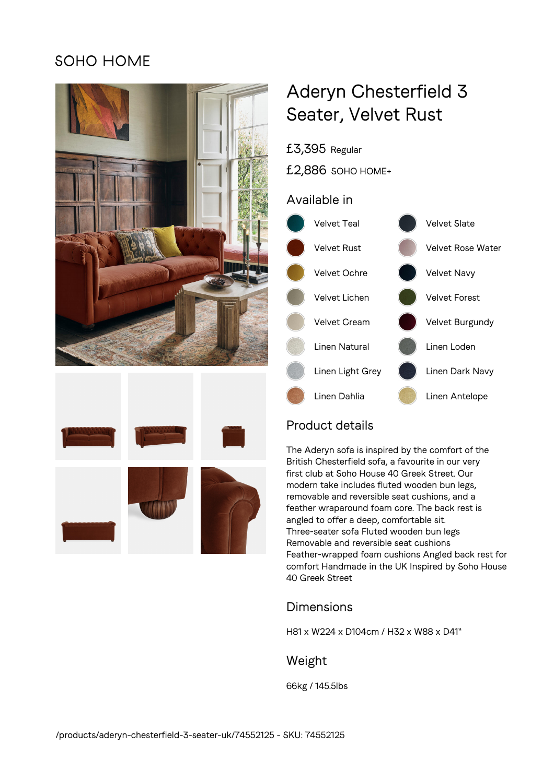## **SOHO HOME**





# Aderyn Chesterfield 3 Seater, Velvet Rust

£3,395 Regular

£2,886 SOHO HOME+

## Available in



## Product details

The Aderyn sofa is inspired by the comfort of the British Chesterfield sofa, a favourite in our very first club at Soho House 40 Greek Street. Our modern take includes fluted wooden bun legs, removable and reversible seat cushions, and a feather wraparound foam core. The back rest is angled to offer a deep, comfortable sit. Three-seater sofa Fluted wooden bun legs Removable and reversible seat cushions Feather-wrapped foam cushions Angled back rest for comfort Handmade in the UK Inspired by Soho House 40 Greek Street

## Dimensions

H81 x W224 x D104cm / H32 x W88 x D41"

### Weight

66kg / 145.5lbs